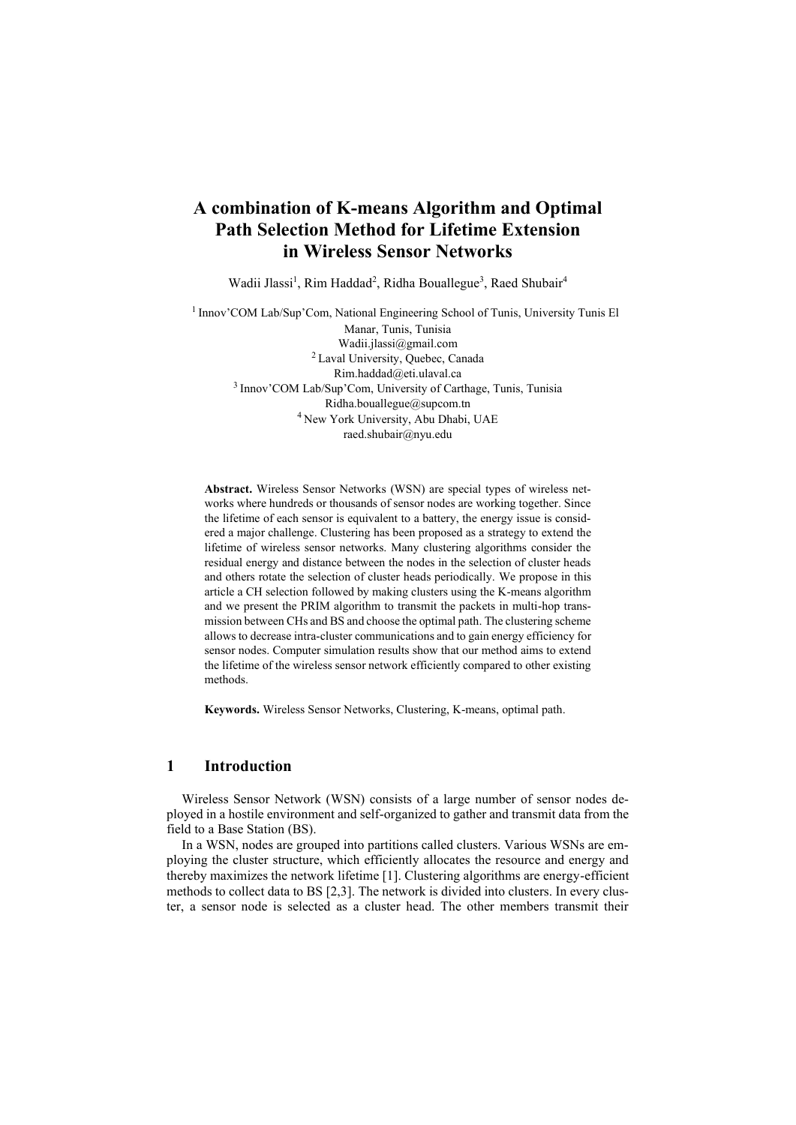# **A combination of K-means Algorithm and Optimal Path Selection Method for Lifetime Extension in Wireless Sensor Networks**

Wadii Jlassi<sup>1</sup>, Rim Haddad<sup>2</sup>, Ridha Bouallegue<sup>3</sup>, Raed Shubair<sup>4</sup>

<sup>1</sup> Innov'COM Lab/Sup'Com, National Engineering School of Tunis, University Tunis El Manar, Tunis, Tunisia Wadii.jlassi@gmail.com <sup>2</sup>Laval University, Quebec, Canada Rim.haddad@eti.ulaval.ca <sup>3</sup> Innov'COM Lab/Sup'Com, University of Carthage, Tunis, Tunisia Ridha.bouallegue@supcom.tn <sup>4</sup> New York University, Abu Dhabi, UAE raed.shubair@nyu.edu

**Abstract.** Wireless Sensor Networks (WSN) are special types of wireless networks where hundreds or thousands of sensor nodes are working together. Since the lifetime of each sensor is equivalent to a battery, the energy issue is considered a major challenge. Clustering has been proposed as a strategy to extend the lifetime of wireless sensor networks. Many clustering algorithms consider the residual energy and distance between the nodes in the selection of cluster heads and others rotate the selection of cluster heads periodically. We propose in this article a CH selection followed by making clusters using the K-means algorithm and we present the PRIM algorithm to transmit the packets in multi-hop transmission between CHs and BS and choose the optimal path. The clustering scheme allows to decrease intra-cluster communications and to gain energy efficiency for sensor nodes. Computer simulation results show that our method aims to extend the lifetime of the wireless sensor network efficiently compared to other existing methods.

**Keywords.** Wireless Sensor Networks, Clustering, K-means, optimal path.

## **1 Introduction**

Wireless Sensor Network (WSN) consists of a large number of sensor nodes deployed in a hostile environment and self-organized to gather and transmit data from the field to a Base Station (BS).

In a WSN, nodes are grouped into partitions called clusters. Various WSNs are employing the cluster structure, which efficiently allocates the resource and energy and thereby maximizes the network lifetime [1]. Clustering algorithms are energy-efficient methods to collect data to BS [2,3]. The network is divided into clusters. In every cluster, a sensor node is selected as a cluster head. The other members transmit their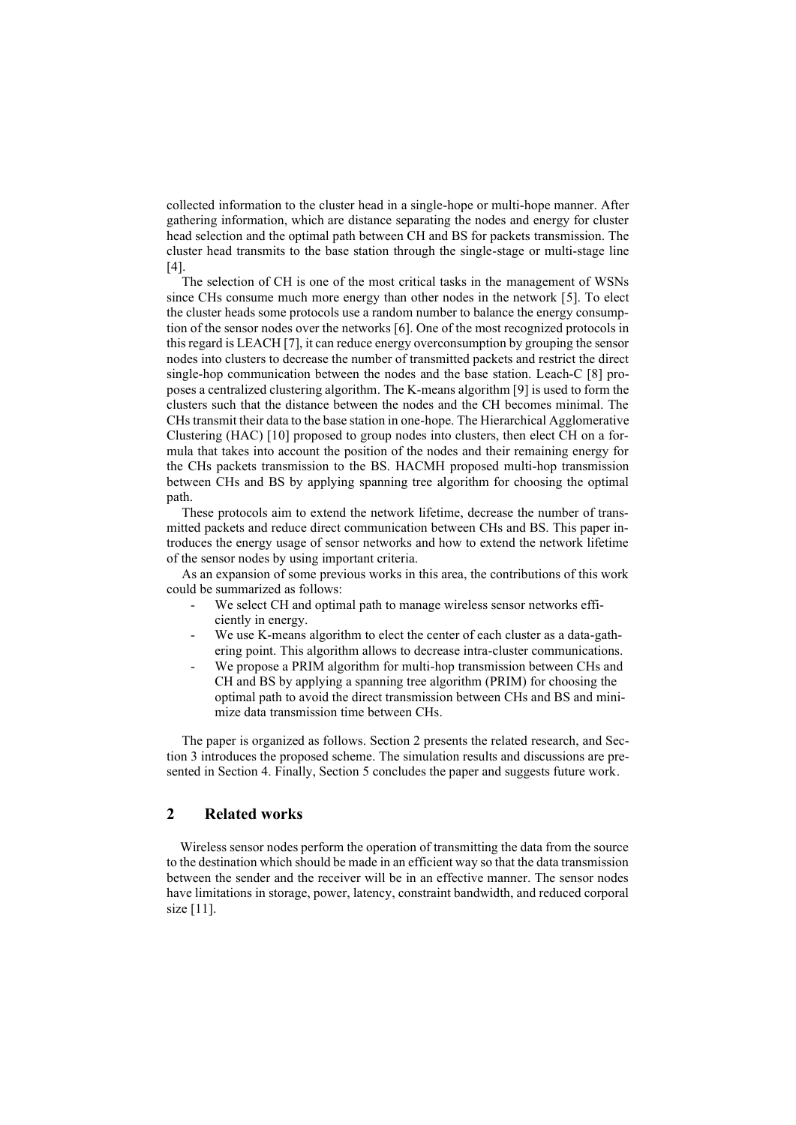collected information to the cluster head in a single-hope or multi-hope manner. After gathering information, which are distance separating the nodes and energy for cluster head selection and the optimal path between CH and BS for packets transmission. The cluster head transmits to the base station through the single-stage or multi-stage line [4].

The selection of CH is one of the most critical tasks in the management of WSNs since CHs consume much more energy than other nodes in the network [5]. To elect the cluster heads some protocols use a random number to balance the energy consumption of the sensor nodes over the networks [6]. One of the most recognized protocols in this regard is LEACH [7], it can reduce energy overconsumption by grouping the sensor nodes into clusters to decrease the number of transmitted packets and restrict the direct single-hop communication between the nodes and the base station. Leach-C [8] proposes a centralized clustering algorithm. The K-means algorithm [9] is used to form the clusters such that the distance between the nodes and the CH becomes minimal. The CHs transmit their data to the base station in one-hope. The Hierarchical Agglomerative Clustering (HAC) [10] proposed to group nodes into clusters, then elect CH on a formula that takes into account the position of the nodes and their remaining energy for the CHs packets transmission to the BS. HACMH proposed multi-hop transmission between CHs and BS by applying spanning tree algorithm for choosing the optimal path.

These protocols aim to extend the network lifetime, decrease the number of transmitted packets and reduce direct communication between CHs and BS. This paper introduces the energy usage of sensor networks and how to extend the network lifetime of the sensor nodes by using important criteria.

As an expansion of some previous works in this area, the contributions of this work could be summarized as follows:

- We select CH and optimal path to manage wireless sensor networks efficiently in energy.
- We use K-means algorithm to elect the center of each cluster as a data-gathering point. This algorithm allows to decrease intra-cluster communications.
- We propose a PRIM algorithm for multi-hop transmission between CHs and CH and BS by applying a spanning tree algorithm (PRIM) for choosing the optimal path to avoid the direct transmission between CHs and BS and minimize data transmission time between CHs.

The paper is organized as follows. Section 2 presents the related research, and Section 3 introduces the proposed scheme. The simulation results and discussions are presented in Section 4. Finally, Section 5 concludes the paper and suggests future work.

## **2 Related works**

 Wireless sensor nodes perform the operation of transmitting the data from the source to the destination which should be made in an efficient way so that the data transmission between the sender and the receiver will be in an effective manner. The sensor nodes have limitations in storage, power, latency, constraint bandwidth, and reduced corporal size [11].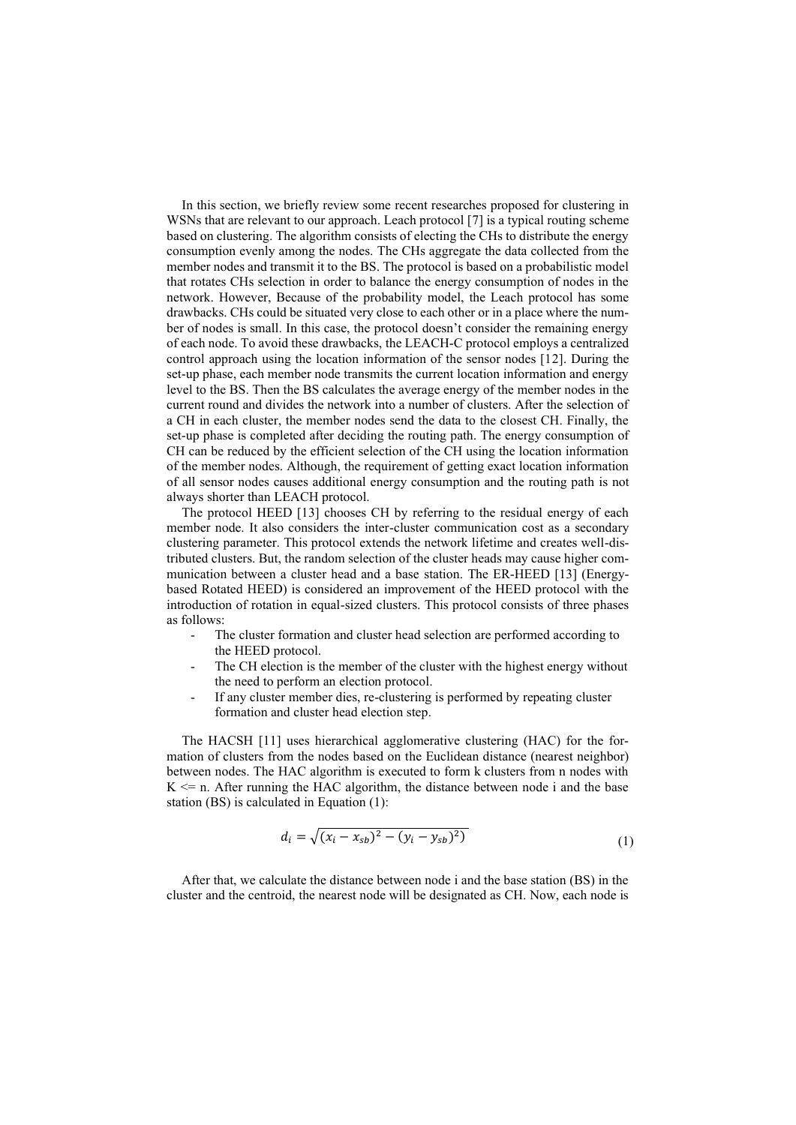In this section, we briefly review some recent researches proposed for clustering in WSNs that are relevant to our approach. Leach protocol [7] is a typical routing scheme based on clustering. The algorithm consists of electing the CHs to distribute the energy consumption evenly among the nodes. The CHs aggregate the data collected from the member nodes and transmit it to the BS. The protocol is based on a probabilistic model that rotates CHs selection in order to balance the energy consumption of nodes in the network. However, Because of the probability model, the Leach protocol has some drawbacks. CHs could be situated very close to each other or in a place where the number of nodes is small. In this case, the protocol doesn't consider the remaining energy of each node. To avoid these drawbacks, the LEACH-C protocol employs a centralized control approach using the location information of the sensor nodes [12]. During the set-up phase, each member node transmits the current location information and energy level to the BS. Then the BS calculates the average energy of the member nodes in the current round and divides the network into a number of clusters. After the selection of a CH in each cluster, the member nodes send the data to the closest CH. Finally, the set-up phase is completed after deciding the routing path. The energy consumption of CH can be reduced by the efficient selection of the CH using the location information of the member nodes. Although, the requirement of getting exact location information of all sensor nodes causes additional energy consumption and the routing path is not always shorter than LEACH protocol.

The protocol HEED [13] chooses CH by referring to the residual energy of each member node. It also considers the inter-cluster communication cost as a secondary clustering parameter. This protocol extends the network lifetime and creates well-distributed clusters. But, the random selection of the cluster heads may cause higher communication between a cluster head and a base station. The ER-HEED [13] (Energybased Rotated HEED) is considered an improvement of the HEED protocol with the introduction of rotation in equal-sized clusters. This protocol consists of three phases as follows:

- The cluster formation and cluster head selection are performed according to the HEED protocol.
- The CH election is the member of the cluster with the highest energy without the need to perform an election protocol.
- If any cluster member dies, re-clustering is performed by repeating cluster formation and cluster head election step.

The HACSH [11] uses hierarchical agglomerative clustering (HAC) for the formation of clusters from the nodes based on the Euclidean distance (nearest neighbor) between nodes. The HAC algorithm is executed to form k clusters from n nodes with  $K \leq n$ . After running the HAC algorithm, the distance between node i and the base station (BS) is calculated in Equation (1):

$$
d_i = \sqrt{(x_i - x_{sb})^2 - (y_i - y_{sb})^2)}
$$
 (1)

After that, we calculate the distance between node i and the base station (BS) in the cluster and the centroid, the nearest node will be designated as CH. Now, each node is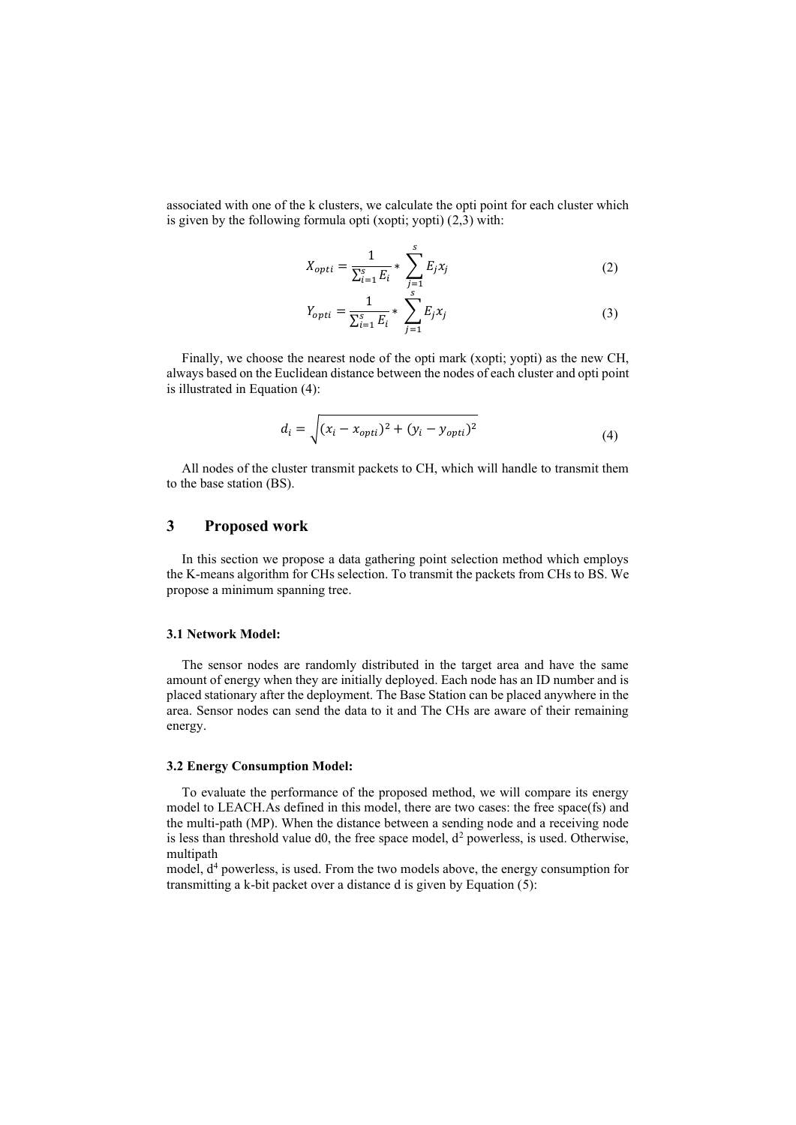associated with one of the k clusters, we calculate the opti point for each cluster which is given by the following formula opti (xopti; yopti) (2,3) with:

$$
X_{opti} = \frac{1}{\sum_{i=1}^{s} E_i} * \sum_{j=1}^{s} E_j x_j
$$
 (2)

$$
Y_{opti} = \frac{1}{\sum_{i=1}^{S} E_i} * \sum_{j=1}^{S} E_j x_j
$$
 (3)

Finally, we choose the nearest node of the opti mark (xopti; yopti) as the new CH, always based on the Euclidean distance between the nodes of each cluster and opti point is illustrated in Equation (4):

$$
d_i = \sqrt{(x_i - x_{opti})^2 + (y_i - y_{opti})^2}
$$
 (4)

All nodes of the cluster transmit packets to CH, which will handle to transmit them to the base station (BS).

## **3 Proposed work**

In this section we propose a data gathering point selection method which employs the K-means algorithm for CHs selection. To transmit the packets from CHs to BS. We propose a minimum spanning tree.

### **3.1 Network Model:**

The sensor nodes are randomly distributed in the target area and have the same amount of energy when they are initially deployed. Each node has an ID number and is placed stationary after the deployment. The Base Station can be placed anywhere in the area. Sensor nodes can send the data to it and The CHs are aware of their remaining energy.

#### **3.2 Energy Consumption Model:**

To evaluate the performance of the proposed method, we will compare its energy model to LEACH.As defined in this model, there are two cases: the free space(fs) and the multi-path (MP). When the distance between a sending node and a receiving node is less than threshold value d0, the free space model,  $d^2$  powerless, is used. Otherwise, multipath

model,  $d<sup>4</sup>$  powerless, is used. From the two models above, the energy consumption for transmitting a k-bit packet over a distance d is given by Equation (5):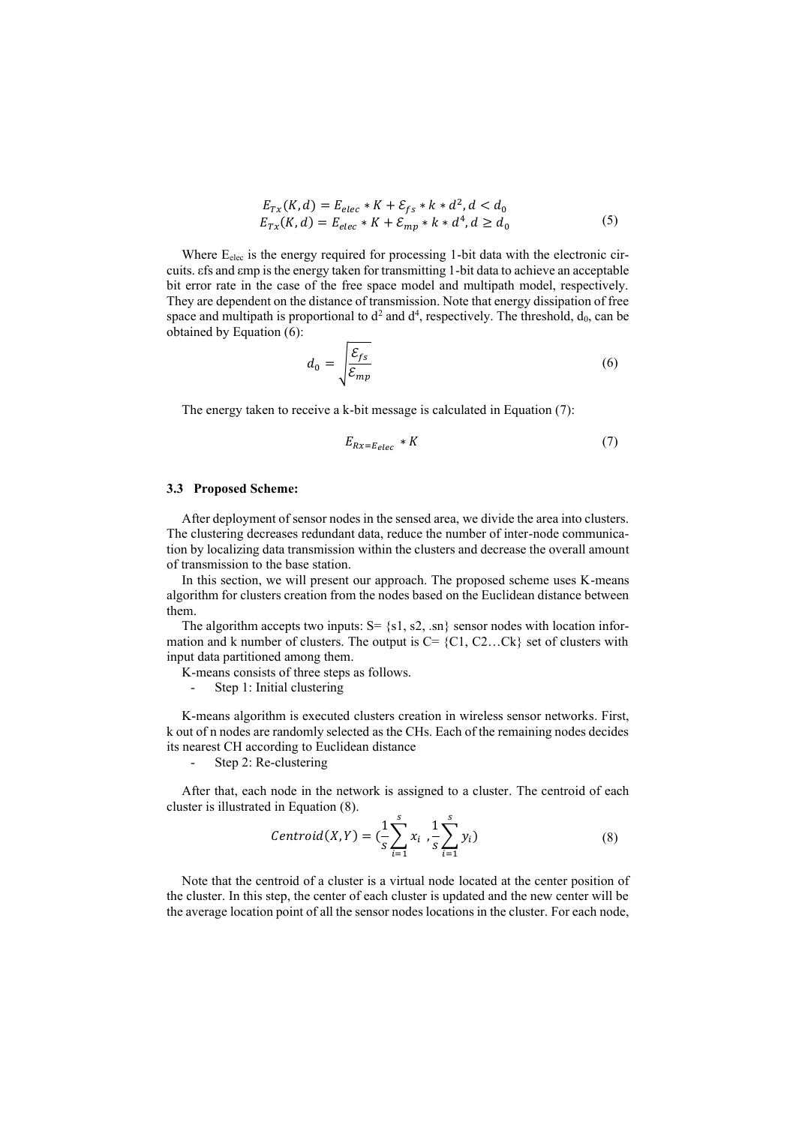$$
E_{Tx}(K,d) = E_{elec} * K + \mathcal{E}_{fs} * k * d^2, d < d_0
$$
  
\n
$$
E_{Tx}(K,d) = E_{elec} * K + \mathcal{E}_{mp} * k * d^4, d \ge d_0
$$
\n(5)

Where E<sub>elec</sub> is the energy required for processing 1-bit data with the electronic circuits. εfs and εmp is the energy taken for transmitting 1-bit data to achieve an acceptable bit error rate in the case of the free space model and multipath model, respectively. They are dependent on the distance of transmission. Note that energy dissipation of free space and multipath is proportional to  $d^2$  and  $d^4$ , respectively. The threshold,  $d_0$ , can be obtained by Equation (6):

$$
d_0 = \sqrt{\frac{\mathcal{E}_{fs}}{\mathcal{E}_{mp}}} \tag{6}
$$

The energy taken to receive a k-bit message is calculated in Equation (7):

$$
E_{Rx=E_{elec}} * K \tag{7}
$$

### **3.3 Proposed Scheme:**

After deployment of sensor nodes in the sensed area, we divide the area into clusters. The clustering decreases redundant data, reduce the number of inter-node communication by localizing data transmission within the clusters and decrease the overall amount of transmission to the base station.

In this section, we will present our approach. The proposed scheme uses K-means algorithm for clusters creation from the nodes based on the Euclidean distance between them.

The algorithm accepts two inputs:  $S = \{s_1, s_2, \ldots\}$  sensor nodes with location information and k number of clusters. The output is  $C = \{C1, C2...Ck\}$  set of clusters with input data partitioned among them.

K-means consists of three steps as follows.

Step 1: Initial clustering

K-means algorithm is executed clusters creation in wireless sensor networks. First, k out of n nodes are randomly selected as the CHs. Each of the remaining nodes decides its nearest CH according to Euclidean distance

- Step 2: Re-clustering

After that, each node in the network is assigned to a cluster. The centroid of each cluster is illustrated in Equation (8).

$$
Centroid(X, Y) = (\frac{1}{s} \sum_{i=1}^{s} x_i , \frac{1}{s} \sum_{i=1}^{s} y_i)
$$
\n(8)

Note that the centroid of a cluster is a virtual node located at the center position of the cluster. In this step, the center of each cluster is updated and the new center will be the average location point of all the sensor nodes locations in the cluster. For each node,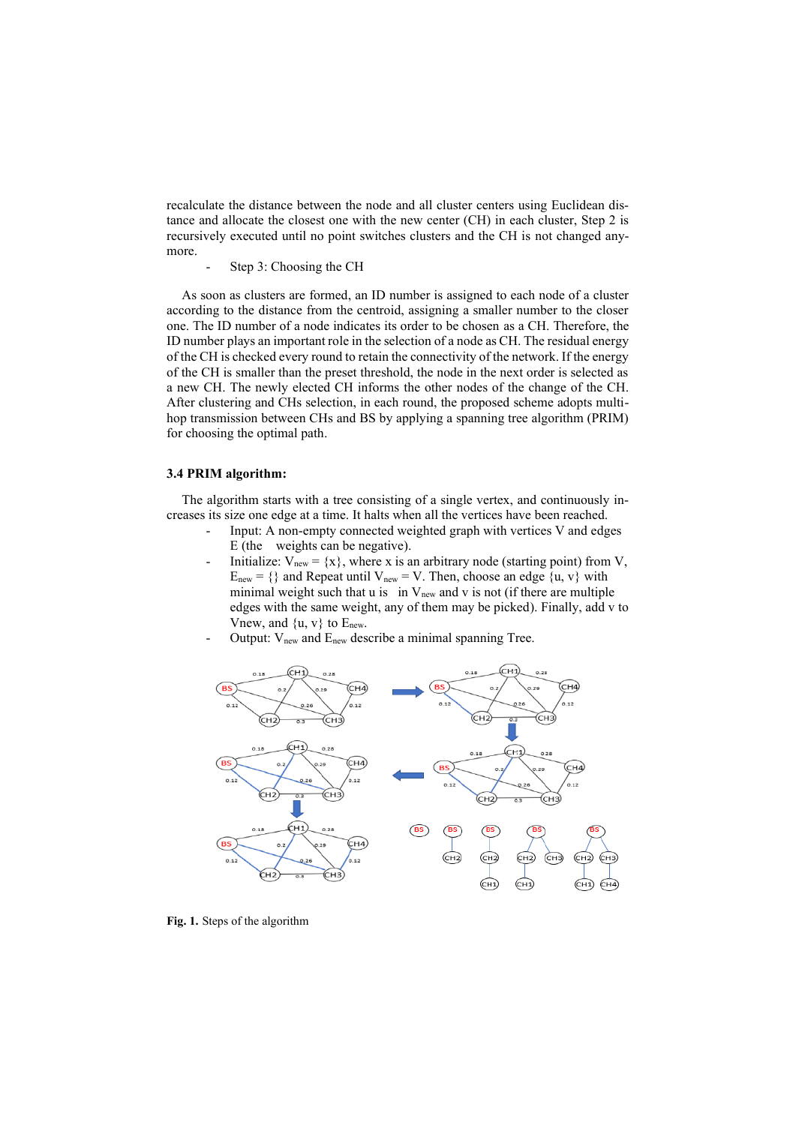recalculate the distance between the node and all cluster centers using Euclidean distance and allocate the closest one with the new center (CH) in each cluster, Step 2 is recursively executed until no point switches clusters and the CH is not changed anymore.

Step 3: Choosing the CH

As soon as clusters are formed, an ID number is assigned to each node of a cluster according to the distance from the centroid, assigning a smaller number to the closer one. The ID number of a node indicates its order to be chosen as a CH. Therefore, the ID number plays an important role in the selection of a node as CH. The residual energy of the CH is checked every round to retain the connectivity of the network. If the energy of the CH is smaller than the preset threshold, the node in the next order is selected as a new CH. The newly elected CH informs the other nodes of the change of the CH. After clustering and CHs selection, in each round, the proposed scheme adopts multihop transmission between CHs and BS by applying a spanning tree algorithm (PRIM) for choosing the optimal path.

#### **3.4 PRIM algorithm:**

The algorithm starts with a tree consisting of a single vertex, and continuously increases its size one edge at a time. It halts when all the vertices have been reached.

- Input: A non-empty connected weighted graph with vertices V and edges E (the weights can be negative).
- Initialize:  $V_{new} = \{x\}$ , where x is an arbitrary node (starting point) from V,  $E_{new} = \{\}$  and Repeat until  $V_{new} = V$ . Then, choose an edge  $\{u, v\}$  with minimal weight such that u is in  $V_{new}$  and v is not (if there are multiple edges with the same weight, any of them may be picked). Finally, add v to Vnew, and  $\{u, v\}$  to  $E_{new}$ .
- Output: V<sub>new</sub> and E<sub>new</sub> describe a minimal spanning Tree.



**Fig. 1.** Steps of the algorithm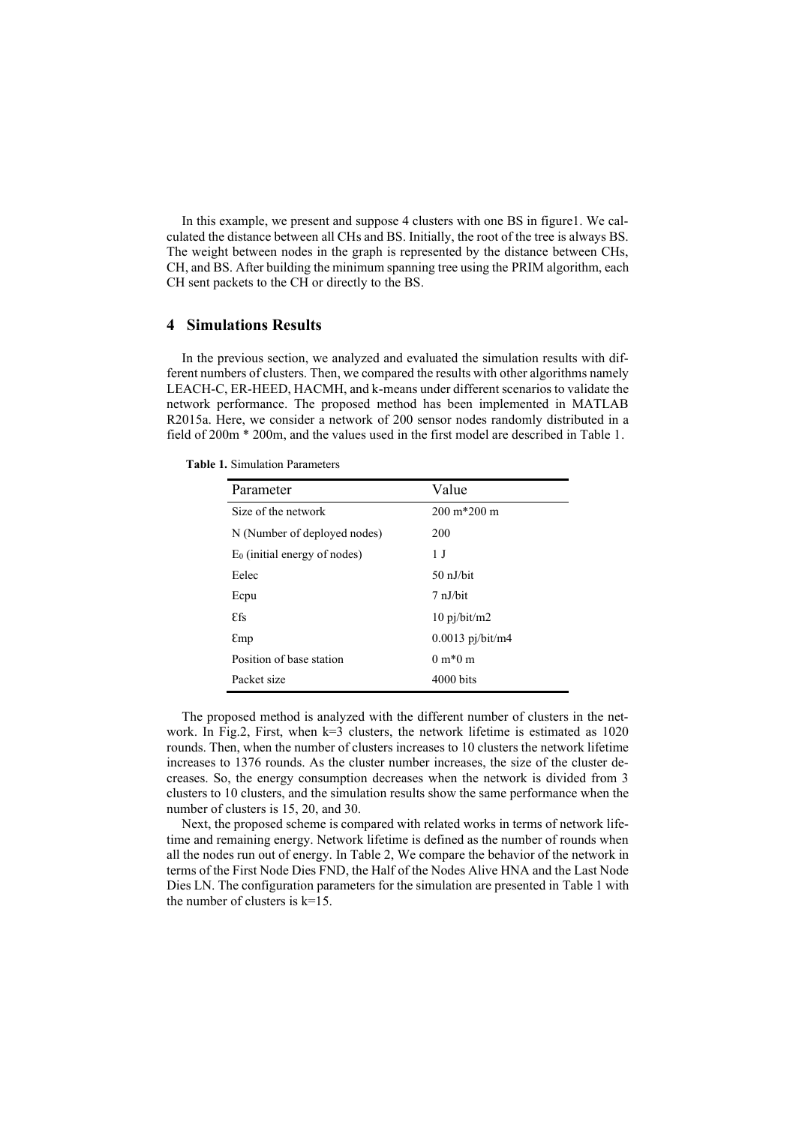In this example, we present and suppose 4 clusters with one BS in figure1. We calculated the distance between all CHs and BS. Initially, the root of the tree is always BS. The weight between nodes in the graph is represented by the distance between CHs, CH, and BS. After building the minimum spanning tree using the PRIM algorithm, each CH sent packets to the CH or directly to the BS.

### **4 Simulations Results**

In the previous section, we analyzed and evaluated the simulation results with different numbers of clusters. Then, we compared the results with other algorithms namely LEACH-C, ER-HEED, HACMH, and k-means under different scenarios to validate the network performance. The proposed method has been implemented in MATLAB R2015a. Here, we consider a network of 200 sensor nodes randomly distributed in a field of 200m \* 200m, and the values used in the first model are described in Table 1.

| Parameter                       | Value                  |
|---------------------------------|------------------------|
| Size of the network             | $200 \text{ m}$ *200 m |
| N (Number of deployed nodes)    | 200                    |
| $E_0$ (initial energy of nodes) | 1 J                    |
| Eelec                           | 50 nJ/bit              |
| Ecpu                            | $7 \n  nJ/b$ it        |
| <b>Efs</b>                      | $10 \pi/b$ it/m2       |
| Emp                             | $0.0013$ pj/bit/m4     |
| Position of base station        | $0 m*0 m$              |
| Packet size                     | $4000 \text{ bits}$    |

**Table 1.** Simulation Parameters

The proposed method is analyzed with the different number of clusters in the network. In Fig.2, First, when  $k=3$  clusters, the network lifetime is estimated as 1020 rounds. Then, when the number of clusters increases to 10 clusters the network lifetime increases to 1376 rounds. As the cluster number increases, the size of the cluster decreases. So, the energy consumption decreases when the network is divided from 3 clusters to 10 clusters, and the simulation results show the same performance when the number of clusters is 15, 20, and 30.

Next, the proposed scheme is compared with related works in terms of network lifetime and remaining energy. Network lifetime is defined as the number of rounds when all the nodes run out of energy. In Table 2, We compare the behavior of the network in terms of the First Node Dies FND, the Half of the Nodes Alive HNA and the Last Node Dies LN. The configuration parameters for the simulation are presented in Table 1 with the number of clusters is  $k=15$ .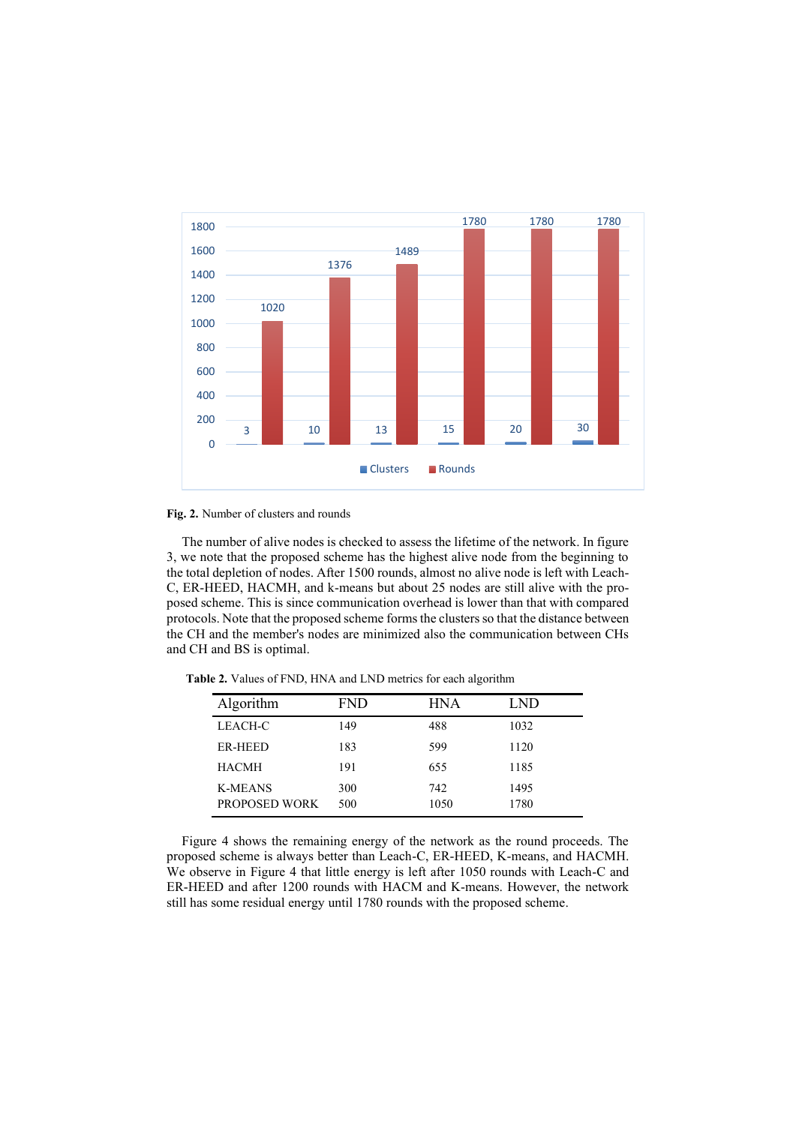

**Fig. 2.** Number of clusters and rounds

The number of alive nodes is checked to assess the lifetime of the network. In figure 3, we note that the proposed scheme has the highest alive node from the beginning to the total depletion of nodes. After 1500 rounds, almost no alive node is left with Leach-C, ER-HEED, HACMH, and k-means but about 25 nodes are still alive with the proposed scheme. This is since communication overhead is lower than that with compared protocols. Note that the proposed scheme forms the clusters so that the distance between the CH and the member's nodes are minimized also the communication between CHs and CH and BS is optimal.

| Algorithm                       | <b>FND</b> | <b>HNA</b>  | LND          |
|---------------------------------|------------|-------------|--------------|
| LEACH-C                         | 149        | 488         | 1032         |
| <b>ER-HEED</b>                  | 183        | 599         | 1120         |
| <b>HACMH</b>                    | 191        | 655         | 1185         |
| <b>K-MEANS</b><br>PROPOSED WORK | 300<br>500 | 742<br>1050 | 1495<br>1780 |
|                                 |            |             |              |

**Table 2.** Values of FND, HNA and LND metrics for each algorithm

Figure 4 shows the remaining energy of the network as the round proceeds. The proposed scheme is always better than Leach-C, ER-HEED, K-means, and HACMH. We observe in Figure 4 that little energy is left after 1050 rounds with Leach-C and ER-HEED and after 1200 rounds with HACM and K-means. However, the network still has some residual energy until 1780 rounds with the proposed scheme.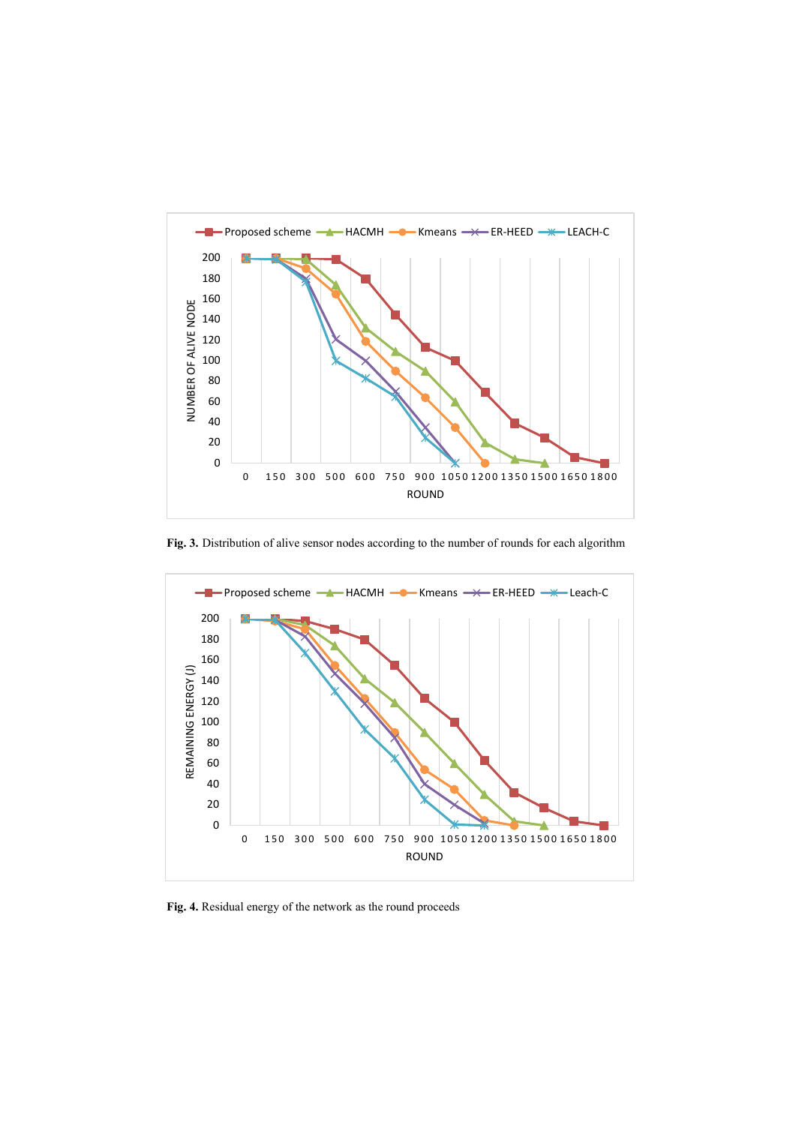

**Fig. 3.** Distribution of alive sensor nodes according to the number of rounds for each algorithm



**Fig. 4.** Residual energy of the network as the round proceeds